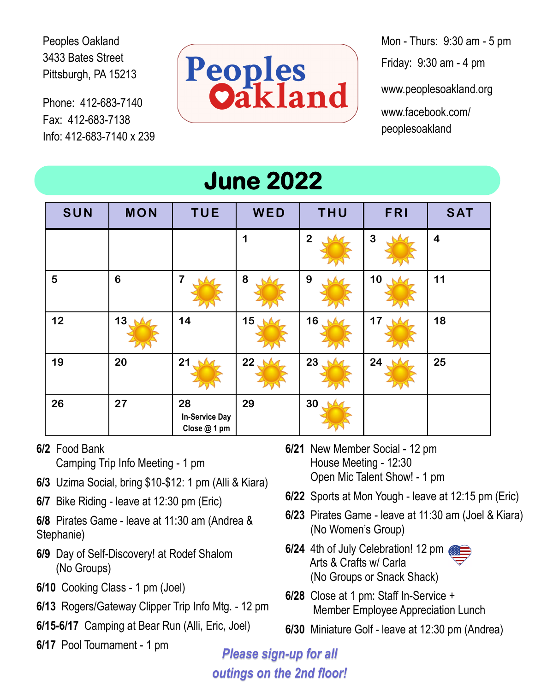Peoples Oakland 3433 Bates Street Pittsburgh, PA 15213

Phone: 412-683-7140 Fax: 412-683-7138 Info: 412-683-7140 x 239



Mon - Thurs: 9:30 am - 5 pm Friday: 9:30 am - 4 pm

www.peoplesoakland.org www.facebook.com/ peoplesoakland

| <b>June 2022</b> |                 |                                             |                 |                 |                |                         |  |  |  |
|------------------|-----------------|---------------------------------------------|-----------------|-----------------|----------------|-------------------------|--|--|--|
| SUN              | <b>MON</b>      | <b>TUE</b>                                  | WED             | <b>THU</b>      | FRI            | <b>SAT</b>              |  |  |  |
|                  |                 |                                             | 1               | $\overline{2}$  | $\overline{3}$ | $\overline{\mathbf{4}}$ |  |  |  |
| 5                | $6\phantom{1}6$ | $\overline{7}$                              | 8               | 9               | 10             | 11                      |  |  |  |
| 12               | 13 <sub>1</sub> | 14                                          | 15 <sub>1</sub> | 16 <sub>1</sub> | 17             | 18                      |  |  |  |
| 19               | 20              | 21                                          | 22              | 23              | 24             | 25                      |  |  |  |
| 26               | 27              | 28<br><b>In-Service Day</b><br>Close @ 1 pm | 29              | 30              |                |                         |  |  |  |

**6/2** Food Bank

Camping Trip Info Meeting - 1 pm

- **6/3** Uzima Social, bring \$10-\$12: 1 pm (Alli & Kiara)
- **6/7** Bike Riding leave at 12:30 pm (Eric)
- **6/8** Pirates Game leave at 11:30 am (Andrea & Stephanie)
- **6/9** Day of Self-Discovery! at Rodef Shalom (No Groups)
- **6/10** Cooking Class 1 pm (Joel)
- **6/13** Rogers/Gateway Clipper Trip Info Mtg. 12 pm
- **6/15-6/17** Camping at Bear Run (Alli, Eric, Joel)
- **6/17** Pool Tournament 1 pm
- **6/21** New Member Social 12 pm House Meeting - 12:30 Open Mic Talent Show! - 1 pm
- **6/22** Sports at Mon Yough leave at 12:15 pm (Eric)
- **6/23** Pirates Game leave at 11:30 am (Joel & Kiara) (No Women's Group)
- **6/24** 4th of July Celebration! 12 pm Arts & Crafts w/ Carla (No Groups or Snack Shack)



- **6/28** Close at 1 pm: Staff In-Service + Member Employee Appreciation Lunch
- **6/30** Miniature Golf leave at 12:30 pm (Andrea)

*Please sign-up for all outings on the 2nd floor!*